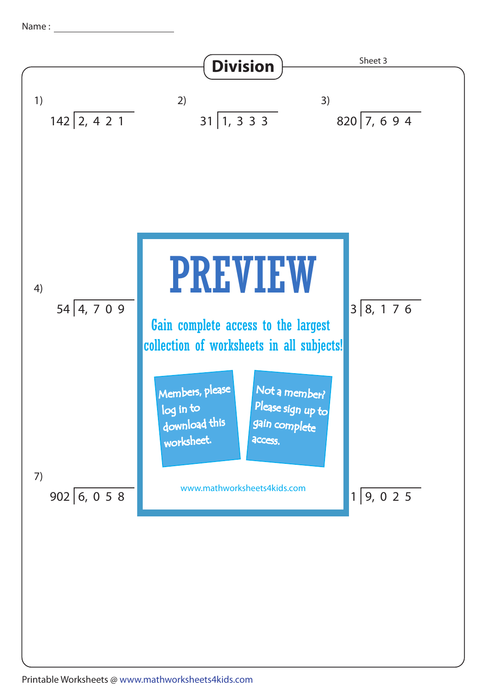